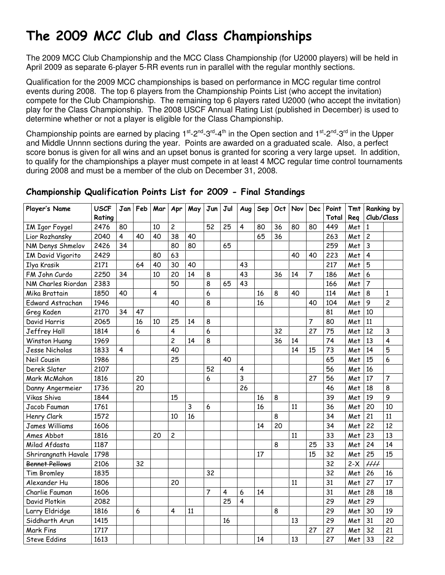# The 2009 MCC Club and Class Championships

The 2009 MCC Club Championship and the MCC Class Championship (for U2000 players) will be held in April 2009 as separate 6-player 5-RR events run in parallel with the regular monthly sections.

Qualification for the 2009 MCC championships is based on performance in MCC regular time control events during 2008. The top 6 players from the Championship Points List (who accept the invitation) compete for the Club Championship. The remaining top 6 players rated U2000 (who accept the invitation) play for the Class Championship. The 2008 USCF Annual Rating List (published in December) is used to determine whether or not a player is eligible for the Class Championship.

Championship points are earned by placing  $1^{st}$ -2<sup>nd</sup>-3<sup>rd</sup>-4<sup>th</sup> in the Open section and  $1^{st}$ -2<sup>nd</sup>-3<sup>rd</sup> in the Upper and Middle Unnnn sections during the year. Points are awarded on a graduated scale. Also, a perfect score bonus is given for all wins and an upset bonus is granted for scoring a very large upset. In addition, to qualify for the championships a player must compete in at least 4 MCC regular time control tournaments during 2008 and must be a member of the club on December 31, 2008.

| Player's Name         | <b>USCF</b> | Jan                     | Feb | Mar                     | Apr                     | May | Jun | Jul | Aug                     | Sep | Oct | Nov | <b>Dec</b>     | Point | <b>Tmt</b> |                  | Ranking by     |
|-----------------------|-------------|-------------------------|-----|-------------------------|-------------------------|-----|-----|-----|-------------------------|-----|-----|-----|----------------|-------|------------|------------------|----------------|
|                       | Rating      |                         |     |                         |                         |     |     |     |                         |     |     |     |                | Total | Reg        | Club/Class       |                |
| IM Igor Foygel        | 2476        | 80                      |     | 10                      | $\overline{c}$          |     | 52  | 25  | $\overline{4}$          | 80  | 36  | 80  | 80             | 449   | Met        | 1                |                |
| Lior Rozhansky        | 2040        | $\overline{\mathbf{4}}$ | 40  | 40                      | 38                      | 40  |     |     |                         | 65  | 36  |     |                | 263   | Met        | $\overline{c}$   |                |
| NM Denys Shmelov      | 2426        | 34                      |     |                         | 80                      | 80  |     | 65  |                         |     |     |     |                | 259   | Met        | $\overline{3}$   |                |
| IM David Vigorito     | 2429        |                         |     | 80                      | 63                      |     |     |     |                         |     |     | 40  | 40             | 223   | Met        | $\overline{4}$   |                |
| Ilya Krasik           | 2171        |                         | 64  | 40                      | 30                      | 40  |     |     | 43                      |     |     |     |                | 217   | Met        | 5                |                |
| FM John Curdo         | 2250        | 34                      |     | 10                      | 20                      | 14  | 8   |     | 43                      |     | 36  | 14  | $\overline{7}$ | 186   | Met        | $\boldsymbol{6}$ |                |
| NM Charles Riordan    | 2383        |                         |     |                         | 50                      |     | 8   | 65  | 43                      |     |     |     |                | 166   | Met        | $\overline{7}$   |                |
| Mika Brattain         | 1850        | 40                      |     | $\overline{\mathbf{4}}$ |                         |     | 6   |     |                         | 16  | 8   | 40  |                | 114   | Met        | 8                | 1              |
| Edward Astrachan      | 1946        |                         |     |                         | 40                      |     | 8   |     |                         | 16  |     |     | 40             | 104   | Met        | 9                | $\overline{c}$ |
| Greg Kaden            | 2170        | 34                      | 47  |                         |                         |     |     |     |                         |     |     |     |                | 81    | Met        | 10               |                |
| David Harris          | 2065        |                         | 16  | 10                      | 25                      | 14  | 8   |     |                         |     |     |     | 7              | 80    | Met        | 11               |                |
| Jeffrey Hall          | 1814        |                         | 6   |                         | $\overline{\mathbf{4}}$ |     | 6   |     |                         |     | 32  |     | 27             | 75    | Met        | 12               | 3              |
| Winston Huang         | 1969        |                         |     |                         | $\overline{c}$          | 14  | 8   |     |                         |     | 36  | 14  |                | 74    | Met        | 13               | 4              |
| Jesse Nicholas        | 1833        | 4                       |     |                         | 40                      |     |     |     |                         |     |     | 14  | 15             | 73    | Met        | 14               | 5              |
| Neil Cousin           | 1986        |                         |     |                         | 25                      |     |     | 40  |                         |     |     |     |                | 65    | Met        | 15               | 6              |
| Derek Slater          | 2107        |                         |     |                         |                         |     | 52  |     | $\overline{\mathbf{4}}$ |     |     |     |                | 56    | Met        | 16               |                |
| Mark McMahon          | 1816        |                         | 20  |                         |                         |     | 6   |     | 3                       |     |     |     | 27             | 56    | Met        | 17               | 7              |
| Danny Angermeier      | 1736        |                         | 20  |                         |                         |     |     |     | 26                      |     |     |     |                | 46    | Met        | 18               | 8              |
| Vikas Shiva           | 1844        |                         |     |                         | 15                      |     |     |     |                         | 16  | 8   |     |                | 39    | Met        | 19               | 9              |
| Jacob Fauman          | 1761        |                         |     |                         |                         | 3   | 6   |     |                         | 16  |     | 11  |                | 36    | Met        | 20               | 10             |
| Henry Clark           | 1572        |                         |     |                         | 10                      | 16  |     |     |                         |     | 8   |     |                | 34    | Met        | 21               | 11             |
| <b>James Williams</b> | 1606        |                         |     |                         |                         |     |     |     |                         | 14  | 20  |     |                | 34    | Met        | 22               | 12             |
| Ames Abbot            | 1816        |                         |     | 20                      | $\overline{c}$          |     |     |     |                         |     |     | 11  |                | 33    | Met        | 23               | 13             |
| Milad Afdasta         | 1187        |                         |     |                         |                         |     |     |     |                         |     | 8   |     | 25             | 33    | Met        | 24               | 14             |
| Shrirangnath Havale   | 1798        |                         |     |                         |                         |     |     |     |                         | 17  |     |     | 15             | 32    | Met        | 25               | 15             |
| <b>Bennet Pellows</b> | 2106        |                         | 32  |                         |                         |     |     |     |                         |     |     |     |                | 32    | $2-X$      | $\mu\mu$         |                |
| <b>Tim Bromley</b>    | 1835        |                         |     |                         |                         |     | 32  |     |                         |     |     |     |                | 32    | Met        | 26               | 16             |
| Alexander Hu          | 1806        |                         |     |                         | 20                      |     |     |     |                         |     |     | 11  |                | 31    | Met        | 27               | 17             |
| Charlie Fauman        | 1606        |                         |     |                         |                         |     | 7   | 4   | 6                       | 14  |     |     |                | 31    | Met        | 28               | 18             |
| David Plotkin         | 2082        |                         |     |                         |                         |     |     | 25  | 4                       |     |     |     |                | 29    | Met        | 29               |                |
| Larry Eldridge        | 1816        |                         | 6   |                         | 4                       | 11  |     |     |                         |     | 8   |     |                | 29    | Met        | 30               | 19             |
| Siddharth Arun        | 1415        |                         |     |                         |                         |     |     | 16  |                         |     |     | 13  |                | 29    | Met        | 31               | 20             |
| Mark Fins             | 1717        |                         |     |                         |                         |     |     |     |                         |     |     |     | 27             | 27    | Met        | 32               | 21             |
| <b>Steve Eddins</b>   | 1613        |                         |     |                         |                         |     |     |     |                         | 14  |     | 13  |                | 27    | Met        | 33               | 22             |

### Championship Qualification Points List for 2009 - Final Standings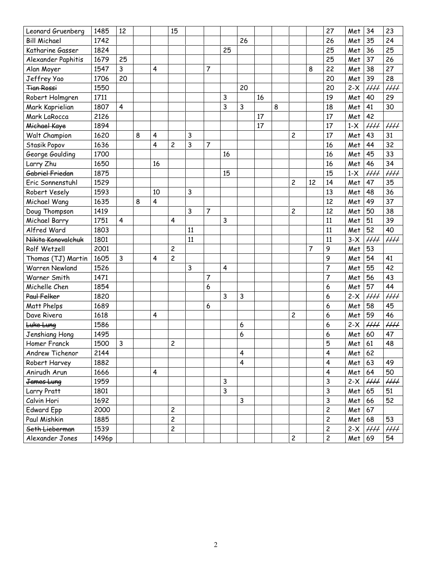| Leonard Gruenberg     | 1485  | 12                      |   |                         | 15                      |    |                |                         |                         |    |   |                         |    | 27                      | Met    | 34              | 23                        |
|-----------------------|-------|-------------------------|---|-------------------------|-------------------------|----|----------------|-------------------------|-------------------------|----|---|-------------------------|----|-------------------------|--------|-----------------|---------------------------|
| <b>Bill Michael</b>   | 1742  |                         |   |                         |                         |    |                |                         | 26                      |    |   |                         |    | 26                      | Met    | 35              | 24                        |
| Katharine Gasser      | 1824  |                         |   |                         |                         |    |                | 25                      |                         |    |   |                         |    | 25                      | Met    | 36              | 25                        |
| Alexander Paphitis    | 1679  | 25                      |   |                         |                         |    |                |                         |                         |    |   |                         |    | 25                      | Met    | 37              | 26                        |
| Alan Moyer            | 1547  | 3                       |   | 4                       |                         |    | 7              |                         |                         |    |   |                         | 8  | 22                      | Met    | 38              | 27                        |
| Jeffrey Yao           | 1706  | 20                      |   |                         |                         |    |                |                         |                         |    |   |                         |    | 20                      | Met    | 39              | 28                        |
| <b>Tian Rossi</b>     | 1550  |                         |   |                         |                         |    |                |                         | 20                      |    |   |                         |    | 20                      | $2-X$  | $\mu\mu$        | $\mu\mu$                  |
| Robert Holmgren       | 1711  |                         |   |                         |                         |    |                | 3                       |                         | 16 |   |                         |    | 19                      | Met    | 40              | 29                        |
| Mark Kaprielian       | 1807  | $\overline{\mathbf{4}}$ |   |                         |                         |    |                | 3                       | 3                       |    | 8 |                         |    | 18                      | Met    | 41              | 30                        |
| Mark LaRocca          | 2126  |                         |   |                         |                         |    |                |                         |                         | 17 |   |                         |    | 17                      | Met    | 42              |                           |
| Michael Kaye          | 1894  |                         |   |                         |                         |    |                |                         |                         | 17 |   |                         |    | 17                      | $1-X$  | $\mu\mu$        | $\mu\mu$                  |
| Walt Champion         | 1620  |                         | 8 | 4                       |                         | 3  |                |                         |                         |    |   | 2                       |    | 17                      | Met    | 43              | 31                        |
| Stasik Popov          | 1636  |                         |   | 4                       | 2                       | 3  | $\overline{7}$ |                         |                         |    |   |                         |    | 16                      | Met    | 44              | 32                        |
| George Goulding       | 1700  |                         |   |                         |                         |    |                | 16                      |                         |    |   |                         |    | 16                      | Met    | 45              | 33                        |
| Larry Zhu             | 1650  |                         |   | 16                      |                         |    |                |                         |                         |    |   |                         |    | 16                      | Met    | 46              | 34                        |
| Gabriel Friedan       | 1875  |                         |   |                         |                         |    |                | 15                      |                         |    |   |                         |    | 15                      | $1-X$  | $\mu\mu$        | $\overline{HH}$           |
| Eric Sonnenstuhl      | 1529  |                         |   |                         |                         |    |                |                         |                         |    |   | $\overline{c}$          | 12 | 14                      | Met    | 47              | 35                        |
| Robert Vesely         | 1593  |                         |   | 10                      |                         | 3  |                |                         |                         |    |   |                         |    | 13                      | Met    | 48              | 36                        |
| Michael Wang          | 1635  |                         | 8 | $\overline{\mathbf{4}}$ |                         |    |                |                         |                         |    |   |                         |    | 12                      | Met    | 49              | $\overline{37}$           |
| Doug Thompson         | 1419  |                         |   |                         |                         | 3  | $\overline{7}$ |                         |                         |    |   | $\overline{\mathbf{c}}$ |    | 12                      | Met    | 50              | 38                        |
| Michael Barry         | 1751  | $\overline{\mathbf{4}}$ |   |                         | 4                       |    |                | 3                       |                         |    |   |                         |    | 11                      | Met    | 51              | 39                        |
| Alfred Ward           | 1803  |                         |   |                         |                         | 11 |                |                         |                         |    |   |                         |    | 11                      | Met    | 52              | 40                        |
| Nikita Konovalchuk    | 1801  |                         |   |                         |                         | 11 |                |                         |                         |    |   |                         |    | 11                      | $3-X$  | HH              | $\mathcal{H} \mathcal{H}$ |
| Rolf Wetzell          | 2001  |                         |   |                         | $\overline{c}$          |    |                |                         |                         |    |   |                         | 7  | 9                       | Met    | 53              |                           |
| Thomas (TJ) Martin    | 1605  | 3                       |   | 4                       | $\overline{c}$          |    |                |                         |                         |    |   |                         |    | 9                       | Met    | 54              | 41                        |
| <b>Warren Newland</b> | 1526  |                         |   |                         |                         | 3  |                | $\overline{\mathbf{4}}$ |                         |    |   |                         |    | 7                       | Met    | 55              | 42                        |
| Warner Smith          | 1471  |                         |   |                         |                         |    | $\overline{7}$ |                         |                         |    |   |                         |    | $\overline{7}$          | Met    | 56              | 43                        |
| Michelle Chen         | 1854  |                         |   |                         |                         |    | 6              |                         |                         |    |   |                         |    | 6                       | Met    | 57              | 44                        |
| Paul Felker           | 1820  |                         |   |                         |                         |    |                | 3                       | 3                       |    |   |                         |    | 6                       | $2-X$  | $\mu\mu$        | HH                        |
| Matt Phelps           | 1689  |                         |   |                         |                         |    | 6              |                         |                         |    |   |                         |    | 6                       | Met    | 58              | 45                        |
| Dave Rivera           | 1618  |                         |   | 4                       |                         |    |                |                         |                         |    |   | 2                       |    | 6                       | Met    | 59              | 46                        |
| Luke Lung             | 1586  |                         |   |                         |                         |    |                |                         | 6                       |    |   |                         |    | 6                       | $2-X$  | $\overline{HH}$ | $\overline{HH}$           |
| Jenshiang Hong        | 1495  |                         |   |                         |                         |    |                |                         | 6                       |    |   |                         |    | $\boldsymbol{6}$        | Met    | 60              | 47                        |
| <b>Homer Franck</b>   | 1500  | 3                       |   |                         | $\overline{c}$          |    |                |                         |                         |    |   |                         |    | 5                       | Met    | 61              | 48                        |
| Andrew Tichenor       | 2144  |                         |   |                         |                         |    |                |                         | 4                       |    |   |                         |    | 4                       | Met 62 |                 |                           |
| Robert Harvey         | 1882  |                         |   |                         |                         |    |                |                         | $\overline{\mathbf{4}}$ |    |   |                         |    | $\overline{\mathbf{4}}$ | Met    | 63              | 49                        |
| Anirudh Arun          | 1666  |                         |   | $\overline{\mathbf{4}}$ |                         |    |                |                         |                         |    |   |                         |    | $\overline{\mathbf{4}}$ | Met    | 64              | 50                        |
| James Lung            | 1959  |                         |   |                         |                         |    |                | 3                       |                         |    |   |                         |    | 3                       | $2-X$  | $\mu\mu$        | $\mu\mu$                  |
| Larry Pratt           | 1801  |                         |   |                         |                         |    |                | 3                       |                         |    |   |                         |    | $\mathsf{3}$            | Met    | 65              | 51                        |
| Calvin Hori           | 1692  |                         |   |                         |                         |    |                |                         | $\mathsf{3}$            |    |   |                         |    | 3                       | Met    | 66              | 52                        |
| <b>Edward Epp</b>     | 2000  |                         |   |                         | $\overline{c}$          |    |                |                         |                         |    |   |                         |    | $\overline{c}$          | Met    | 67              |                           |
| Paul Mishkin          | 1885  |                         |   |                         | $\overline{c}$          |    |                |                         |                         |    |   |                         |    | $\overline{c}$          | Met    | 68              | 53                        |
| Seth Lieberman        | 1539  |                         |   |                         | $\overline{\mathbf{c}}$ |    |                |                         |                         |    |   |                         |    | $\overline{c}$          | $2-X$  | $\#$            | $\mu\mu$                  |
| Alexander Jones       | 1496p |                         |   |                         |                         |    |                |                         |                         |    |   | $\overline{c}$          |    | $\overline{c}$          | Met 69 |                 | 54                        |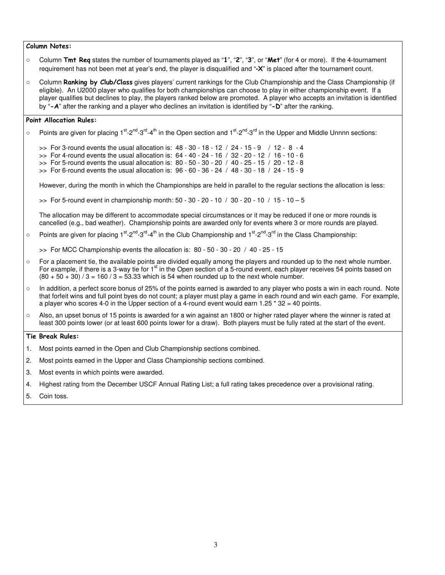#### Column Notes:

○ Column Tmt Req states the number of tournaments played as "1", "2", "3", or "Met" (for 4 or more). If the 4-tournament requirement has not been met at year's end, the player is disqualified and "**-**X" is placed after the tournament count.

○ Column **Ranking by Club/Class** gives players' current rankings for the Club Championship and the Class Championship (if eligible). An U2000 player who qualifies for both championships can choose to play in either championship event. If a player qualifies but declines to play, the players ranked below are promoted. A player who accepts an invitation is identified by " $-A$ " after the ranking and a player who declines an invitation is identified by " $-D$ " after the ranking.

#### Point Allocation Rules:

○ Points are given for placing 1<sup>st</sup>-2<sup>nd</sup>-3<sup>rd</sup>-4<sup>th</sup> in the Open section and 1<sup>st</sup>-2<sup>nd</sup>-3<sup>rd</sup> in the Upper and Middle Unnnn sections:

>> For 3-round events the usual allocation is: 48 - 30 - 18 - 12 / 24 - 15 - 9 / 12 - 8 - 4  $\Rightarrow$  For 4-round events the usual allocation is:  $64 - 40 - 24 - 16$  /  $32 - 20 - 12$  /  $16 - 10 - 6$ 

- >> For 5-round events the usual allocation is: 80 50 30 20 / 40 25 15 / 20 12 8
- $\gg$  For 6-round events the usual allocation is:  $96 60 36 24 / 48 30 18 / 24 15 9$

However, during the month in which the Championships are held in parallel to the regular sections the allocation is less:

>> For 5-round event in championship month: 50 - 30 - 20 - 10 / 30 - 20 - 10 / 15 - 10 – 5

The allocation may be different to accommodate special circumstances or it may be reduced if one or more rounds is cancelled (e.g., bad weather). Championship points are awarded only for events where 3 or more rounds are played.

○ Points are given for placing  $1^{st}$ - $2^{nd}$ - $3^{rd}$ - $4^{th}$  in the Club Championship and  $1^{st}$ - $2^{nd}$ - $3^{rd}$  in the Class Championship:

 $\Rightarrow$  For MCC Championship events the allocation is: 80 - 50 - 30 - 20 / 40 - 25 - 15

- For a placement tie, the available points are divided equally among the players and rounded up to the next whole number. For example, if there is a 3-way tie for 1<sup>st</sup> in the Open section of a 5-round event, each player receives 54 points based on  $(80 + 50 + 30)$  / 3 = 160 / 3 = 53.33 which is 54 when rounded up to the next whole number.
- In addition, a perfect score bonus of 25% of the points earned is awarded to any player who posts a win in each round. Note that forfeit wins and full point byes do not count; a player must play a game in each round and win each game. For example, a player who scores 4-0 in the Upper section of a 4-round event would earn 1.25  $*$  32 = 40 points.
- Also, an upset bonus of 15 points is awarded for a win against an 1800 or higher rated player where the winner is rated at least 300 points lower (or at least 600 points lower for a draw). Both players must be fully rated at the start of the event.

#### Tie Break Rules:

- 1. Most points earned in the Open and Club Championship sections combined.
- 2. Most points earned in the Upper and Class Championship sections combined.
- 3. Most events in which points were awarded.
- 4. Highest rating from the December USCF Annual Rating List; a full rating takes precedence over a provisional rating.
- 5. Coin toss.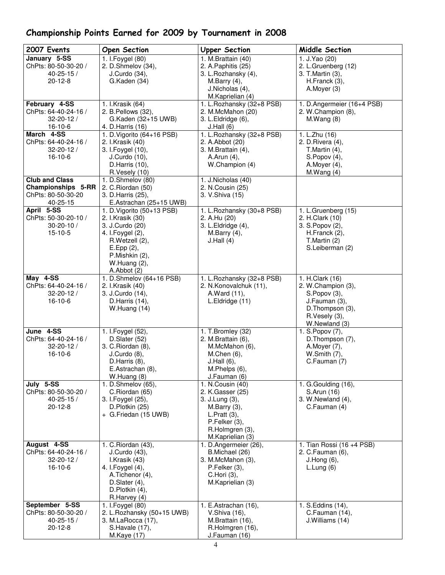| 2007 Events                              | <b>Open Section</b>                      | <b>Upper Section</b>                | Middle Section                   |
|------------------------------------------|------------------------------------------|-------------------------------------|----------------------------------|
| January 5-SS                             | 1. I. Foygel (80)                        | 1. M.Brattain (40)                  | 1. J. Yao (20)                   |
| ChPts: 80-50-30-20 /                     | 2. D.Shmelov (34),                       | 2. A. Paphitis (25)                 | 2. L.Gruenberg (12)              |
| $40 - 25 - 15/$                          | J.Curdo (34),                            | 3. L.Rozhansky (4),                 | 3. T. Martin (3),                |
| $20 - 12 - 8$                            | G.Kaden (34)                             | M.Barry (4),                        | H.Franck (3),                    |
|                                          |                                          | J.Nicholas (4),                     | A.Moyer (3)                      |
|                                          |                                          | M.Kaprielian (4)                    |                                  |
| February 4-SS                            | 1. I.Krasik (64)                         | 1. L.Rozhansky (32+8 PSB)           | 1. D.Angermeier (16+4 PSB)       |
| ChPts: 64-40-24-16 /                     | 2. B. Pellows (32),                      | 2. M.McMahon (20)                   | 2. W.Champion (8),               |
| $32 - 20 - 12$                           | G.Kaden (32+15 UWB)                      | 3. L. Eldridge (6),                 | M.Wang(8)                        |
| $16-10-6$                                | 4. D. Harris (16)                        | J.Hall(6)                           |                                  |
| March 4-SS                               | 1. D. Vigorito (64+16 PSB)               | 1. L. Rozhansky (32+8 PSB)          | 1. L.Zhu (16)                    |
| ChPts: 64-40-24-16 /                     | 2. I.Krasik (40)                         | 2. A.Abbot (20)                     | 2. D. Rivera (4),                |
| $32 - 20 - 12/$                          | 3. I. Foygel (10),                       | 3. M.Brattain (4),                  | T. Martin $(4)$ ,                |
| $16-10-6$                                | J.Curdo (10),                            | A.Arun (4),                         | S.Popov(4),                      |
|                                          | D. Harris (10),                          | W.Champion (4)                      | A.Moyer (4),                     |
|                                          | R.Vesely (10)                            |                                     | M.Wang(4)                        |
| <b>Club and Class</b>                    | 1. D.Shmelov (80)                        | 1. J.Nicholas (40)                  |                                  |
| Championships 5-RR<br>ChPts: 80-50-30-20 | 2. C. Riordan (50)<br>3. D. Harris (25), | 2. N.Cousin (25)<br>3. V.Shiva (15) |                                  |
| 40-25-15                                 | E.Astrachan (25+15 UWB)                  |                                     |                                  |
| April 5-SS                               | 1. D. Vigorito (50+13 PSB)               | 1. L.Rozhansky (30+8 PSB)           | 1. L.Gruenberg (15)              |
| ChPts: 50-30-20-10 /                     | 2. I.Krasik (30)                         | 2. A.Hu (20)                        | 2. H.Clark (10)                  |
| $30 - 20 - 10 /$                         | 3. J.Curdo (20)                          | 3. L. Eldridge (4),                 | 3. S. Popov (2),                 |
| $15-10-5$                                | 4. I. Foygel (2),                        | M.Barry (4),                        | H.Franck (2),                    |
|                                          | R.Wetzell (2),                           | J.Hall(4)                           | T.Martin (2)                     |
|                                          | E.Epp (2),                               |                                     | S.Leiberman (2)                  |
|                                          | P.Mishkin (2),                           |                                     |                                  |
|                                          | W.Huang (2),                             |                                     |                                  |
|                                          | A.Abbot (2)                              |                                     |                                  |
| May 4-SS                                 | 1. D.Shmelov (64+16 PSB)                 | 1. L.Rozhansky (32+8 PSB)           | 1. H.Clark (16)                  |
| ChPts: 64-40-24-16 /                     | 2. I.Krasik (40)                         | 2. N.Konovalchuk (11),              | 2. W.Champion (3),               |
| $32 - 20 - 12 /$                         | 3. J.Curdo (14),                         | A.Ward (11),                        | S.Popov (3),                     |
| $16-10-6$                                | D.Harris (14),                           | L.Eldridge (11)                     | J.Fauman (3),                    |
|                                          | W.Huang (14)                             |                                     | D.Thompson (3),                  |
|                                          |                                          |                                     | R.Vesely (3),                    |
|                                          |                                          |                                     | W.Newland (3)                    |
| June 4-SS<br>ChPts: 64-40-24-16 /        | 1. I. Foygel (52),                       | 1. T.Bromley (32)                   | 1. S. Popov (7),                 |
|                                          | D.Slater (52)<br>3. C. Riordan (8),      | 2. M.Brattain (6),                  | D.Thompson (7),<br>A. Moyer (7), |
| $32 - 20 - 12 /$<br>16-10-6              | $J.Curdo(8)$ ,                           | M.McMahon (6),<br>M.Chen (6),       | W.Smith (7),                     |
|                                          | D.Harris (8),                            | J.Hall(6),                          | C.Fauman (7)                     |
|                                          | E.Astrachan (8),                         | M.Phelps (6),                       |                                  |
|                                          | W.Huang (8)                              | J.Fauman (6)                        |                                  |
| July 5-SS                                | 1. D.Shmelov (65),                       | 1. N.Cousin (40)                    | 1. G. Goulding (16),             |
| ChPts: 80-50-30-20 /                     | C.Riordan (65)                           | 2. K.Gasser (25)                    | S.Arun (16)                      |
| $40 - 25 - 15/$                          | 3. I. Foygel (25),                       | 3. J.Lung (3),                      | 3. W. Newland (4),               |
| $20 - 12 - 8$                            | D.Plotkin (25)                           | M.Barry (3),                        | C.Fauman (4)                     |
|                                          | + G.Friedan (15 UWB)                     | L.Pratt(3),                         |                                  |
|                                          |                                          | P.Felker (3),                       |                                  |
|                                          |                                          | R.Holmgren (3),                     |                                  |
|                                          |                                          | M.Kaprielian (3)                    |                                  |
| August 4-SS                              | 1. C. Riordan (43),                      | 1. D.Angermeier (26),               | 1. Tian Rossi (16 +4 PSB)        |
| ChPts: 64-40-24-16 /                     | J.Curdo (43),                            | B.Michael (26)                      | 2. C.Fauman (6),                 |
| $32 - 20 - 12$                           | I.Krasik (43)                            | 3. M.McMahon (3),                   | J.Hong(6),                       |
| $16-10-6$                                | 4. I. Foygel (4),                        | P.Felker (3),                       | L.Lung(6)                        |
|                                          | A.Tichenor (4),<br>D.Slater (4),         | C.Hori (3),<br>M.Kaprielian (3)     |                                  |
|                                          | D.Plotkin (4),                           |                                     |                                  |
|                                          | R.Harvey (4)                             |                                     |                                  |
| September 5-SS                           | 1. I. Foygel (80)                        | 1. E.Astrachan (16),                | 1. S.Eddins (14),                |
| ChPts: 80-50-30-20 /                     | 2. L.Rozhansky (50+15 UWB)               | V.Shiva (16),                       | C.Fauman (14),                   |
| $40 - 25 - 15/$                          | 3. M.LaRocca (17),                       | M.Brattain (16),                    | J.Williams (14)                  |
| $20 - 12 - 8$                            | S.Havale (17),                           | R.Holmgren (16),                    |                                  |
|                                          | M.Kaye (17)                              | J.Fauman (16)                       |                                  |

## Championship Points Earned for 2009 by Tournament in 2008